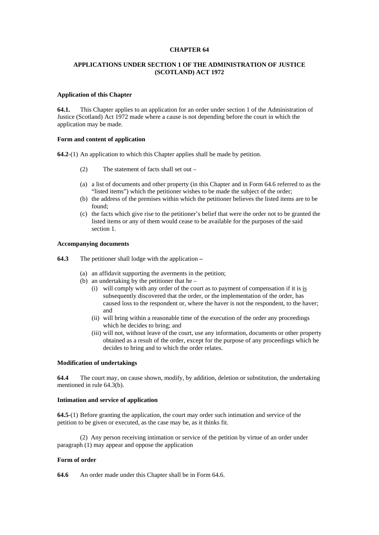### **CHAPTER 64**

## **APPLICATIONS UNDER SECTION 1 OF THE ADMINISTRATION OF JUSTICE (SCOTLAND) ACT 1972**

### **Application of this Chapter**

**64.1.** This Chapter applies to an application for an order under section 1 of the Administration of Justice (Scotland) Act 1972 made where a cause is not depending before the court in which the application may be made.

### **Form and content of application**

**64.2**-(1) An application to which this Chapter applies shall be made by petition.

- (2) The statement of facts shall set out –
- (a) a list of documents and other property (in this Chapter and in Form 64.6 referred to as the "listed items") which the petitioner wishes to be made the subject of the order;
- (b) the address of the premises within which the petitioner believes the listed items are to be found;
- (c) the facts which give rise to the petitioner's belief that were the order not to be granted the listed items or any of them would cease to be available for the purposes of the said section 1.

#### **Accompanying documents**

**64.3** The petitioner shall lodge with the application **–** 

- (a) an affidavit supporting the averments in the petition;
- (b) an undertaking by the petitioner that he
	- (i) will comply with any order of the court as to payment of compensation if it is  $\frac{1}{12}$ subsequently discovered that the order, or the implementation of the order, has caused loss to the respondent or, where the haver is not the respondent, to the haver; and
	- (ii) will bring within a reasonable time of the execution of the order any proceedings which he decides to bring; and
	- (iii) will not, without leave of the court, use any information, documents or other property obtained as a result of the order, except for the purpose of any proceedings which he decides to bring and to which the order relates.

### **Modification of undertakings**

**64.4** The court may, on cause shown, modify, by addition, deletion or substitution, the undertaking mentioned in rule 64.3(b).

### **Intimation and service of application**

**64.5**-(1) Before granting the application, the court may order such intimation and service of the petition to be given or executed, as the case may be, as it thinks fit.

 (2) Any person receiving intimation or service of the petition by virtue of an order under paragraph (1) may appear and oppose the application

#### **Form of order**

**64.6** An order made under this Chapter shall be in Form 64.6.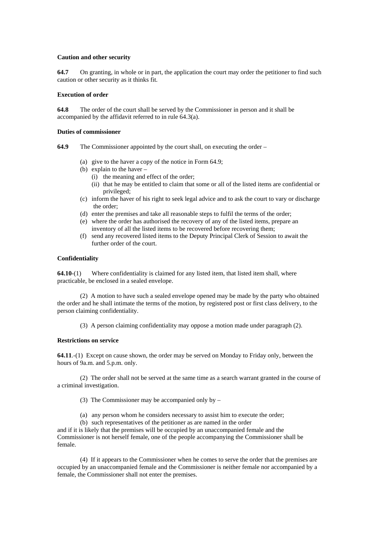### **Caution and other security**

**64.7** On granting, in whole or in part, the application the court may order the petitioner to find such caution or other security as it thinks fit.

### **Execution of order**

**64.8** The order of the court shall be served by the Commissioner in person and it shall be accompanied by the affidavit referred to in rule 64.3(a).

#### **Duties of commissioner**

**64.9** The Commissioner appointed by the court shall, on executing the order –

- (a) give to the haver a copy of the notice in Form 64.9;
- (b) explain to the haver
	- (i) the meaning and effect of the order;
	- (ii) that he may be entitled to claim that some or all of the listed items are confidential or privileged;
- (c) inform the haver of his right to seek legal advice and to ask the court to vary or discharge the order;
- (d) enter the premises and take all reasonable steps to fulfil the terms of the order;
- (e) where the order has authorised the recovery of any of the listed items, prepare an inventory of all the listed items to be recovered before recovering them;
- (f) send any recovered listed items to the Deputy Principal Clerk of Session to await the further order of the court.

#### **Confidentiality**

**64.10**-(1) Where confidentiality is claimed for any listed item, that listed item shall, where practicable, be enclosed in a sealed envelope.

 (2) A motion to have such a sealed envelope opened may be made by the party who obtained the order and he shall intimate the terms of the motion, by registered post or first class delivery, to the person claiming confidentiality.

(3) A person claiming confidentiality may oppose a motion made under paragraph (2).

#### **Restrictions on service**

**64.11**.-(1) Except on cause shown, the order may be served on Monday to Friday only, between the hours of 9a.m. and 5.p.m. only.

 (2) The order shall not be served at the same time as a search warrant granted in the course of a criminal investigation.

- (3) The Commissioner may be accompanied only by –
- (a) any person whom he considers necessary to assist him to execute the order;
- (b) such representatives of the petitioner as are named in the order

and if it is likely that the premises will be occupied by an unaccompanied female and the Commissioner is not herself female, one of the people accompanying the Commissioner shall be female.

 (4) If it appears to the Commissioner when he comes to serve the order that the premises are occupied by an unaccompanied female and the Commissioner is neither female nor accompanied by a female, the Commissioner shall not enter the premises.